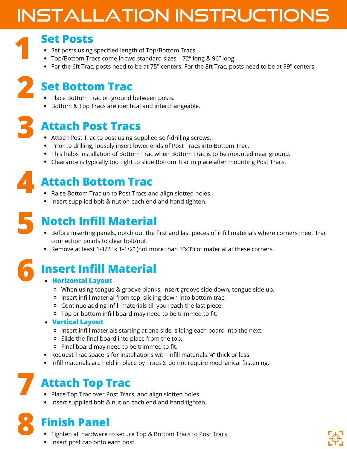## Installation Instructions

#### **Set Posts**

- Set posts using specified length of Top/Bottom Tracs.
- Top/Bottom Tracs come in two standard sizes 72" long & 96" long.
- For the 6ft Trac, posts need to be at 75" centers. For the 8ft Trac, posts need to be at 99" centers.

### **Set Bottom Trac 2**

- Place Bottom Trac on ground between posts.
- Bottom & Top Tracs are identical and interchangeable.

# **3**

**1**

#### **Attach Post Tracs**

- Attach Post Trac to post using supplied self-drilling screws.
- Prior to drilling, loosely insert lower ends of Post Tracs into Bottom Trac.
- This helps installation of Bottom Trac when Bottom Trac is to be mounted near ground.
- Clearance is typically too tight to slide Bottom Trac in place after mounting Post Tracs.

# **4**

#### **Attach Bottom Trac**

- Raise Bottom Trac up to Post Tracs and align slotted holes.
- Insert supplied bolt & nut on each end and hand tighten.



#### **Notch Infill Material**

- Before inserting panels, notch out the first and last pieces of infill materials where corners meet Trac connection points to clear bolt/nut.
- Remove at least 1-1/2" x 1-1/2" (not more than 3"x3") of material at these corners.



#### **Insert Infill Material**

#### **Horizontal Layout**

- When using tongue & groove planks, insert groove side down, tongue side up.
- o Insert infill material from top, sliding down into bottom trac.
- Continue adding infill materials till you reach the last piece.
- Top or bottom infill board may need to be trimmed to fit.

#### **Vertical Layout**

- Insert infill materials starting at one side, sliding each board into the next.
- Slide the final board into place from the top.
- Final board may need to be trimmed to fit.
- Request Trac spacers for installations with infill materials ¾" thick or less.
- Infill materials are held in place by Tracs & do not require mechanical fastening.

### **Attach Top Trac 7**

- Place Top Trac over Post Tracs, and align slotted holes.
- Insert supplied bolt & nut on each end and hand tighten.

**8**

#### **Finish Panel**

- Tighten all hardware to secure Top & Bottom Tracs to Post Tracs.
- Insert post cap onto each post.